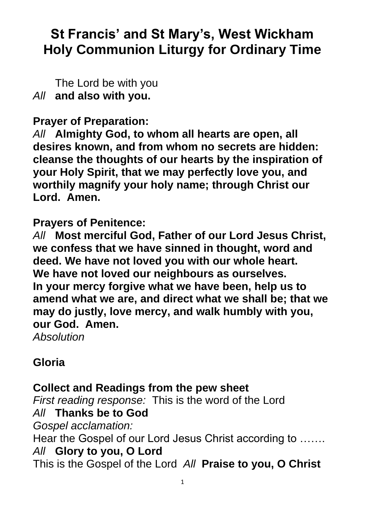# **St Francis' and St Mary's, West Wickham Holy Communion Liturgy for Ordinary Time**

The Lord be with you *All* **and also with you.**

**Prayer of Preparation:**

*All* **Almighty God, to whom all hearts are open, all desires known, and from whom no secrets are hidden: cleanse the thoughts of our hearts by the inspiration of your Holy Spirit, that we may perfectly love you, and worthily magnify your holy name; through Christ our Lord. Amen.**

**Prayers of Penitence:**

*All* **Most merciful God, Father of our Lord Jesus Christ, we confess that we have sinned in thought, word and deed. We have not loved you with our whole heart. We have not loved our neighbours as ourselves. In your mercy forgive what we have been, help us to amend what we are, and direct what we shall be; that we may do justly, love mercy, and walk humbly with you, our God. Amen.**

*Absolution*

## **Gloria**

## **Collect and Readings from the pew sheet**

*First reading response:* This is the word of the Lord *All* **Thanks be to God** *Gospel acclamation:* 

Hear the Gospel of our Lord Jesus Christ according to ……. *All* **Glory to you, O Lord**

This is the Gospel of the Lord *All* **Praise to you, O Christ**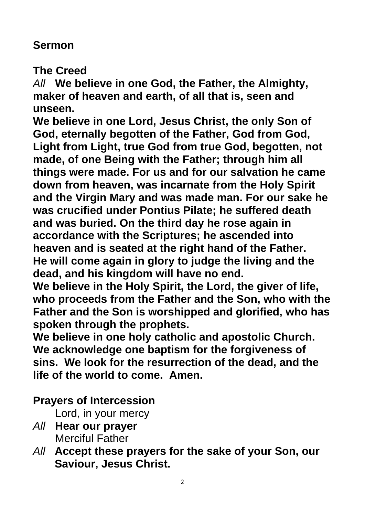## **Sermon**

**The Creed**

*All* **We believe in one God, the Father, the Almighty, maker of heaven and earth, of all that is, seen and unseen.**

**We believe in one Lord, Jesus Christ, the only Son of God, eternally begotten of the Father, God from God, Light from Light, true God from true God, begotten, not made, of one Being with the Father; through him all things were made. For us and for our salvation he came down from heaven, was incarnate from the Holy Spirit and the Virgin Mary and was made man. For our sake he was crucified under Pontius Pilate; he suffered death and was buried. On the third day he rose again in accordance with the Scriptures; he ascended into heaven and is seated at the right hand of the Father. He will come again in glory to judge the living and the dead, and his kingdom will have no end.**

**We believe in the Holy Spirit, the Lord, the giver of life, who proceeds from the Father and the Son, who with the Father and the Son is worshipped and glorified, who has spoken through the prophets.**

**We believe in one holy catholic and apostolic Church. We acknowledge one baptism for the forgiveness of sins. We look for the resurrection of the dead, and the life of the world to come. Amen.**

# **Prayers of Intercession**

Lord, in your mercy

- *All* **Hear our prayer** Merciful Father
- *All* **Accept these prayers for the sake of your Son, our Saviour, Jesus Christ.**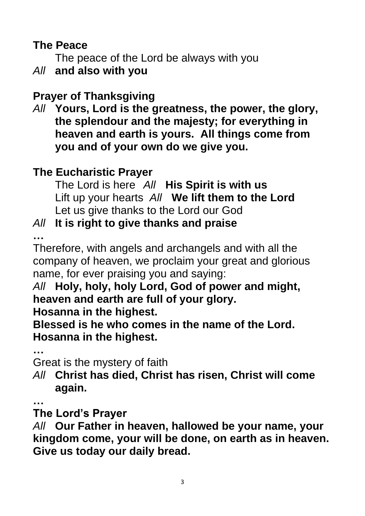## **The Peace**

The peace of the Lord be always with you

*All* **and also with you**

# **Prayer of Thanksgiving**

*All* **Yours, Lord is the greatness, the power, the glory, the splendour and the majesty; for everything in heaven and earth is yours. All things come from you and of your own do we give you.**

# **The Eucharistic Prayer**

The Lord is here *All* **His Spirit is with us** Lift up your hearts *All* **We lift them to the Lord** Let us give thanks to the Lord our God

# *All* **It is right to give thanks and praise**

**…**

Therefore, with angels and archangels and with all the company of heaven, we proclaim your great and glorious name, for ever praising you and saying:

# *All* **Holy, holy, holy Lord, God of power and might, heaven and earth are full of your glory.**

**Hosanna in the highest.**

**Blessed is he who comes in the name of the Lord. Hosanna in the highest.**

**…**

Great is the mystery of faith

*All* **Christ has died, Christ has risen, Christ will come again.**

**…**

## **The Lord's Prayer**

*All* **Our Father in heaven, hallowed be your name, your kingdom come, your will be done, on earth as in heaven. Give us today our daily bread.**